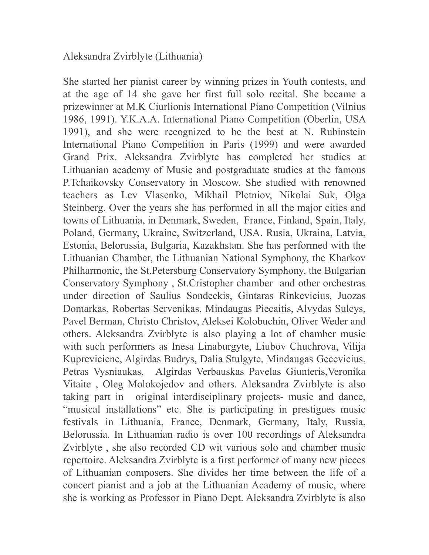## Aleksandra Zvirblyte (Lithuania)

She started her pianist career by winning prizes in Youth contests, and at the age of 14 she gave her first full solo recital. She became a prizewinner at M.K Ciurlionis International Piano Competition (Vilnius 1986, 1991). Y.K.A.A. International Piano Competition (Oberlin, USA 1991), and she were recognized to be the best at N. Rubinstein International Piano Competition in Paris (1999) and were awarded Grand Prix. Aleksandra Zvirblyte has completed her studies at Lithuanian academy of Music and postgraduate studies at the famous P.Tchaikovsky Conservatory in Moscow. She studied with renowned teachers as Lev Vlasenko, Mikhail Pletniov, Nikolai Suk, Olga Steinberg. Over the years she has performed in all the major cities and towns of Lithuania, in Denmark, Sweden, France, Finland, Spain, Italy, Poland, Germany, Ukraine, Switzerland, USA. Rusia, Ukraina, Latvia, Estonia, Belorussia, Bulgaria, Kazakhstan. She has performed with the Lithuanian Chamber, the Lithuanian National Symphony, the Kharkov Philharmonic, the St.Petersburg Conservatory Symphony, the Bulgarian Conservatory Symphony , St.Cristopher chamber and other orchestras under direction of Saulius Sondeckis, Gintaras Rinkevicius, Juozas Domarkas, Robertas Servenikas, Mindaugas Piecaitis, Alvydas Sulcys, Pavel Berman, Christo Christov, Aleksei Kolobuchin, Oliver Weder and others. Aleksandra Zvirblyte is also playing a lot of chamber music with such performers as Inesa Linaburgyte, Liubov Chuchrova, Vilija Kupreviciene, Algirdas Budrys, Dalia Stulgyte, Mindaugas Gecevicius, Petras Vysniaukas, Algirdas Verbauskas Pavelas Giunteris,Veronika Vitaite , Oleg Molokojedov and others. Aleksandra Zvirblyte is also taking part in original interdisciplinary projects- music and dance, "musical installations" etc. She is participating in prestigues music festivals in Lithuania, France, Denmark, Germany, Italy, Russia, Belorussia. In Lithuanian radio is over 100 recordings of Aleksandra Zvirblyte , she also recorded CD wit various solo and chamber music repertoire. Aleksandra Zvirblyte is a first performer of many new pieces of Lithuanian composers. She divides her time between the life of a concert pianist and a job at the Lithuanian Academy of music, where she is working as Professor in Piano Dept. Aleksandra Zvirblyte is also